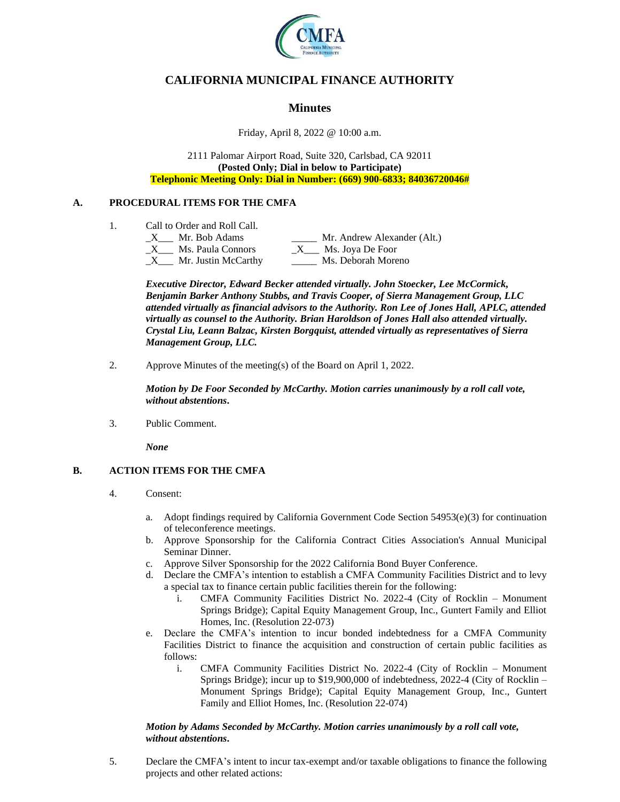

# **CALIFORNIA MUNICIPAL FINANCE AUTHORITY**

## **Minutes**

Friday, April 8, 2022 @ 10:00 a.m.

2111 Palomar Airport Road, Suite 320, Carlsbad, CA 92011 **(Posted Only; Dial in below to Participate) Telephonic Meeting Only: Dial in Number: (669) 900-6833; 84036720046#**

## **A. PROCEDURAL ITEMS FOR THE CMFA**

- 1. Call to Order and Roll Call.
	- X Mr. Bob Adams Mr. Andrew Alexander (Alt.)  $X$  Ms. Paula Connors  $X$  Ms. Joya De Foor \_X\_\_\_ Mr. Justin McCarthy \_\_\_\_\_ Ms. Deborah Moreno

*Executive Director, Edward Becker attended virtually. John Stoecker, Lee McCormick, Benjamin Barker Anthony Stubbs, and Travis Cooper, of Sierra Management Group, LLC attended virtually as financial advisors to the Authority. Ron Lee of Jones Hall, APLC, attended virtually as counsel to the Authority. Brian Haroldson of Jones Hall also attended virtually. Crystal Liu, Leann Balzac, Kirsten Borgquist, attended virtually as representatives of Sierra Management Group, LLC.*

2. Approve Minutes of the meeting(s) of the Board on April 1, 2022.

*Motion by De Foor Seconded by McCarthy. Motion carries unanimously by a roll call vote, without abstentions***.**

3. Public Comment.

*None*

## **B. ACTION ITEMS FOR THE CMFA**

- 4. Consent:
	- a. Adopt findings required by California Government Code Section 54953(e)(3) for continuation of teleconference meetings.
	- b. Approve Sponsorship for the California Contract Cities Association's Annual Municipal Seminar Dinner.
	- c. Approve Silver Sponsorship for the 2022 California Bond Buyer Conference.
	- d. Declare the CMFA's intention to establish a CMFA Community Facilities District and to levy a special tax to finance certain public facilities therein for the following:
		- i. CMFA Community Facilities District No. 2022-4 (City of Rocklin Monument Springs Bridge); Capital Equity Management Group, Inc., Guntert Family and Elliot Homes, Inc. (Resolution 22-073)
	- e. Declare the CMFA's intention to incur bonded indebtedness for a CMFA Community Facilities District to finance the acquisition and construction of certain public facilities as follows:
		- i. CMFA Community Facilities District No. 2022-4 (City of Rocklin Monument Springs Bridge); incur up to \$19,900,000 of indebtedness, 2022-4 (City of Rocklin – Monument Springs Bridge); Capital Equity Management Group, Inc., Guntert Family and Elliot Homes, Inc. (Resolution 22-074)

#### *Motion by Adams Seconded by McCarthy. Motion carries unanimously by a roll call vote, without abstentions***.**

5. Declare the CMFA's intent to incur tax-exempt and/or taxable obligations to finance the following projects and other related actions: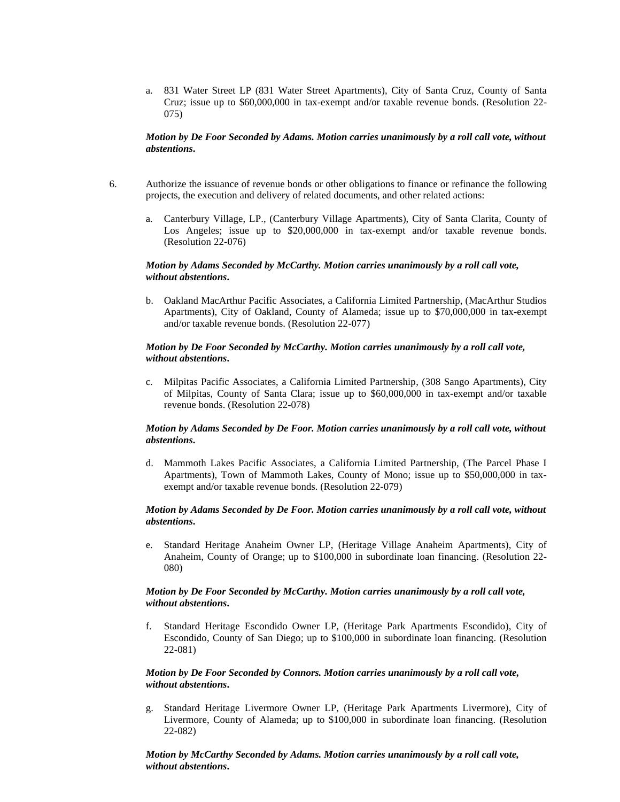a. 831 Water Street LP (831 Water Street Apartments), City of Santa Cruz, County of Santa Cruz; issue up to \$60,000,000 in tax-exempt and/or taxable revenue bonds. (Resolution 22- 075)

#### *Motion by De Foor Seconded by Adams. Motion carries unanimously by a roll call vote, without abstentions***.**

- 6. Authorize the issuance of revenue bonds or other obligations to finance or refinance the following projects, the execution and delivery of related documents, and other related actions:
	- a. Canterbury Village, LP., (Canterbury Village Apartments), City of Santa Clarita, County of Los Angeles; issue up to \$20,000,000 in tax-exempt and/or taxable revenue bonds. (Resolution 22-076)

#### *Motion by Adams Seconded by McCarthy. Motion carries unanimously by a roll call vote, without abstentions***.**

b. Oakland MacArthur Pacific Associates, a California Limited Partnership, (MacArthur Studios Apartments), City of Oakland, County of Alameda; issue up to \$70,000,000 in tax-exempt and/or taxable revenue bonds. (Resolution 22-077)

#### *Motion by De Foor Seconded by McCarthy. Motion carries unanimously by a roll call vote, without abstentions***.**

c. Milpitas Pacific Associates, a California Limited Partnership, (308 Sango Apartments), City of Milpitas, County of Santa Clara; issue up to \$60,000,000 in tax-exempt and/or taxable revenue bonds. (Resolution 22-078)

#### *Motion by Adams Seconded by De Foor. Motion carries unanimously by a roll call vote, without abstentions***.**

d. Mammoth Lakes Pacific Associates, a California Limited Partnership, (The Parcel Phase I Apartments), Town of Mammoth Lakes, County of Mono; issue up to \$50,000,000 in taxexempt and/or taxable revenue bonds. (Resolution 22-079)

#### *Motion by Adams Seconded by De Foor. Motion carries unanimously by a roll call vote, without abstentions***.**

e. Standard Heritage Anaheim Owner LP, (Heritage Village Anaheim Apartments), City of Anaheim, County of Orange; up to \$100,000 in subordinate loan financing. (Resolution 22- 080)

#### *Motion by De Foor Seconded by McCarthy. Motion carries unanimously by a roll call vote, without abstentions***.**

f. Standard Heritage Escondido Owner LP, (Heritage Park Apartments Escondido), City of Escondido, County of San Diego; up to \$100,000 in subordinate loan financing. (Resolution 22-081)

#### *Motion by De Foor Seconded by Connors. Motion carries unanimously by a roll call vote, without abstentions***.**

g. Standard Heritage Livermore Owner LP, (Heritage Park Apartments Livermore), City of Livermore, County of Alameda; up to \$100,000 in subordinate loan financing. (Resolution 22-082)

#### *Motion by McCarthy Seconded by Adams. Motion carries unanimously by a roll call vote, without abstentions***.**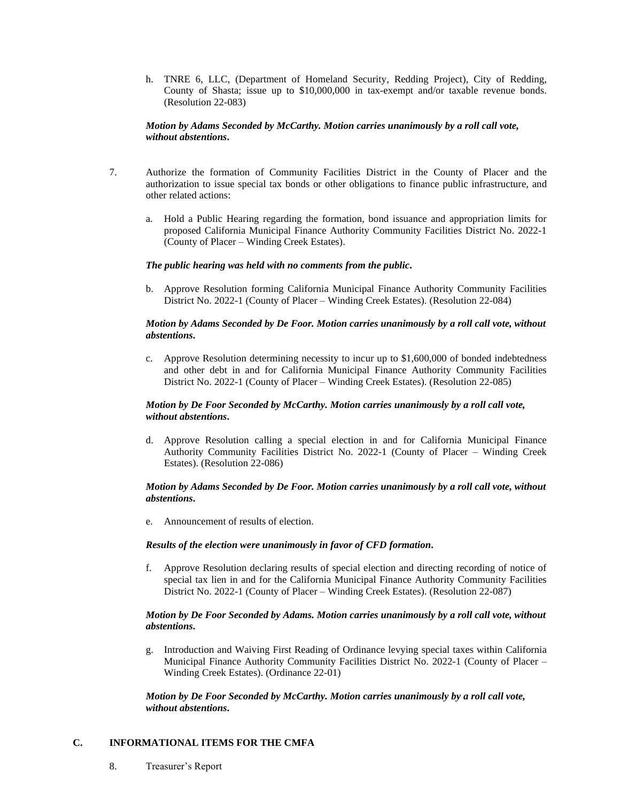h. TNRE 6, LLC, (Department of Homeland Security, Redding Project), City of Redding, County of Shasta; issue up to \$10,000,000 in tax-exempt and/or taxable revenue bonds. (Resolution 22-083)

#### *Motion by Adams Seconded by McCarthy. Motion carries unanimously by a roll call vote, without abstentions***.**

- 7. Authorize the formation of Community Facilities District in the County of Placer and the authorization to issue special tax bonds or other obligations to finance public infrastructure, and other related actions:
	- a. Hold a Public Hearing regarding the formation, bond issuance and appropriation limits for proposed California Municipal Finance Authority Community Facilities District No. 2022-1 (County of Placer – Winding Creek Estates).

#### *The public hearing was held with no comments from the public***.**

b. Approve Resolution forming California Municipal Finance Authority Community Facilities District No. 2022-1 (County of Placer – Winding Creek Estates). (Resolution 22-084)

#### *Motion by Adams Seconded by De Foor. Motion carries unanimously by a roll call vote, without abstentions***.**

c. Approve Resolution determining necessity to incur up to \$1,600,000 of bonded indebtedness and other debt in and for California Municipal Finance Authority Community Facilities District No. 2022-1 (County of Placer – Winding Creek Estates). (Resolution 22-085)

#### *Motion by De Foor Seconded by McCarthy. Motion carries unanimously by a roll call vote, without abstentions***.**

d. Approve Resolution calling a special election in and for California Municipal Finance Authority Community Facilities District No. 2022-1 (County of Placer – Winding Creek Estates). (Resolution 22-086)

#### *Motion by Adams Seconded by De Foor. Motion carries unanimously by a roll call vote, without abstentions***.**

e. Announcement of results of election.

#### *Results of the election were unanimously in favor of CFD formation***.**

f. Approve Resolution declaring results of special election and directing recording of notice of special tax lien in and for the California Municipal Finance Authority Community Facilities District No. 2022-1 (County of Placer – Winding Creek Estates). (Resolution 22-087)

#### *Motion by De Foor Seconded by Adams. Motion carries unanimously by a roll call vote, without abstentions***.**

g. Introduction and Waiving First Reading of Ordinance levying special taxes within California Municipal Finance Authority Community Facilities District No. 2022-1 (County of Placer – Winding Creek Estates). (Ordinance 22-01)

*Motion by De Foor Seconded by McCarthy. Motion carries unanimously by a roll call vote, without abstentions***.**

#### **C. INFORMATIONAL ITEMS FOR THE CMFA**

8. Treasurer's Report